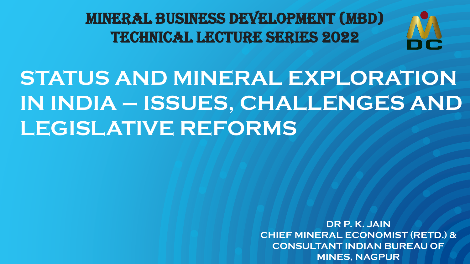MINERAL BUSINESS DEVELOPMENT (MBD) TECHNICAL LECTURE SERIES 2022



**STATUS AND MINERAL EXPLORATION IN INDIA – ISSUES, CHALLENGES AND LEGISLATIVE REFORMS**

> **DR P. K. JAIN CHIEF MINERAL ECONOMIST (RETD.) & CONSULTANT INDIAN BUREAU OF MINES, NAGPUR**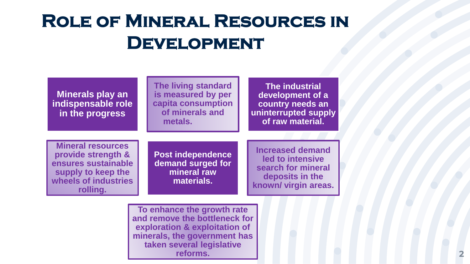# **Role of Mineral Resources in Development**

| Minerals play an<br>indispensable role<br>in the progress                                                                       |  | The living standard<br>is measured by per<br>capita consumption<br>of minerals and<br>metals.                                                                         | <b>The industrial</b><br>development of a<br>country needs an<br>uninterrupted supply<br>of raw material. |                                                                                                              |  |
|---------------------------------------------------------------------------------------------------------------------------------|--|-----------------------------------------------------------------------------------------------------------------------------------------------------------------------|-----------------------------------------------------------------------------------------------------------|--------------------------------------------------------------------------------------------------------------|--|
| <b>Mineral resources</b><br>provide strength &<br>ensures sustainable<br>supply to keep the<br>wheels of industries<br>rolling. |  | <b>Post independence</b><br>demand surged for<br>mineral raw<br>materials.                                                                                            |                                                                                                           | <b>Increased demand</b><br>led to intensive<br>search for mineral<br>deposits in the<br>known/ virgin areas. |  |
|                                                                                                                                 |  | To enhance the growth rate<br>and remove the bottleneck for<br>exploration & exploitation of<br>minerals, the government has<br>taken several legislative<br>reforms. |                                                                                                           |                                                                                                              |  |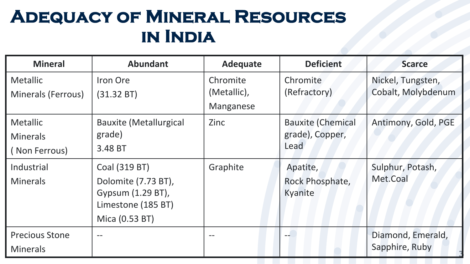# **Adequacy of Mineral Resources in India**

| <b>Mineral</b>            | <b>Abundant</b>               | <b>Adequate</b> | <b>Deficient</b>         | <b>Scarce</b>       |
|---------------------------|-------------------------------|-----------------|--------------------------|---------------------|
| <b>Metallic</b>           | Iron Ore                      | Chromite        | Chromite                 | Nickel, Tungsten,   |
| <b>Minerals (Ferrous)</b> | (31.32 B)                     | (Metallic),     | (Refractory)             | Cobalt, Molybdenum  |
|                           |                               | Manganese       |                          |                     |
| Metallic                  | <b>Bauxite (Metallurgical</b> | Zinc            | <b>Bauxite (Chemical</b> | Antimony, Gold, PGE |
| <b>Minerals</b>           | grade)                        |                 | grade), Copper,          |                     |
| (Non Ferrous)             | 3.48 BT                       |                 | Lead                     |                     |
| Industrial                | Coal (319 BT)                 | Graphite        | Apatite,                 | Sulphur, Potash,    |
| <b>Minerals</b>           | Dolomite (7.73 BT),           |                 | Rock Phosphate,          | Met.Coal            |
|                           | Gypsum (1.29 BT),             |                 | Kyanite                  |                     |
|                           | Limestone (185 BT)            |                 |                          |                     |
|                           | Mica (0.53 BT)                |                 |                          |                     |
| <b>Precious Stone</b>     | $\qquad \qquad -$             |                 |                          | Diamond, Emerald,   |
| <b>Minerals</b>           |                               |                 |                          | Sapphire, Ruby      |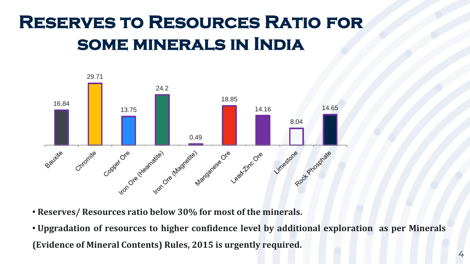# **Reserves to Resources Ratio for some minerals in India**



- **Reserves/ Resources ratio below 30% for most of the minerals.**
- **Upgradation of resources to higher confidence level by additional exploration as per Minerals (Evidence of Mineral Contents) Rules, 2015 is urgently required.**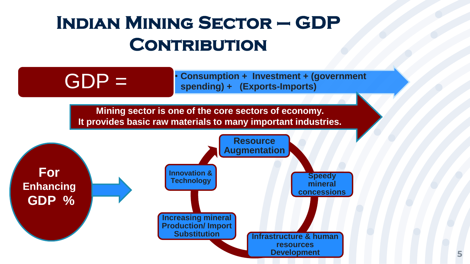# **Indian Mining Sector – GDP CONTRIBUTION**

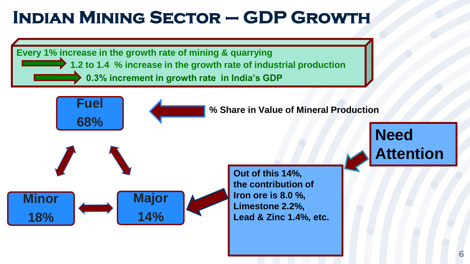# **Indian Mining Sector – GDP Growth**

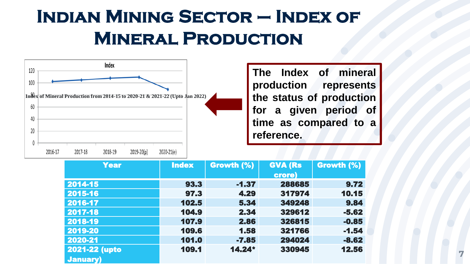# **Indian Mining Sector – Index of Mineral Production**



| <b>Year</b>      | <b>Index</b> | Growth (%) | <b>GVA (Rs</b> | Growth (%) |
|------------------|--------------|------------|----------------|------------|
|                  |              |            | crore)         |            |
| 2014-15          | 93.3         | $-1.37$    | 288685         | 9.72       |
| 2015-16          | 97.3         | 4.29       | 317974         | 10.15      |
| 2016-17          | 102.5        | 5.34       | 349248         | 9.84       |
| 2017-18          | 104.9        | 2.34       | 329612         | $-5.62$    |
| 2018-19          | 107.9        | 2.86       | 326815         | $-0.85$    |
| 2019-20          | 109.6        | 1.58       | 321766         | $-1.54$    |
| 2020-21          | 101.0        | $-7.85$    | 294024         | $-8.62$    |
| 2021-22 (upto    | 109.1        | $14.24*$   | 330945         | 12.56      |
| <b>January</b> ) |              |            |                |            |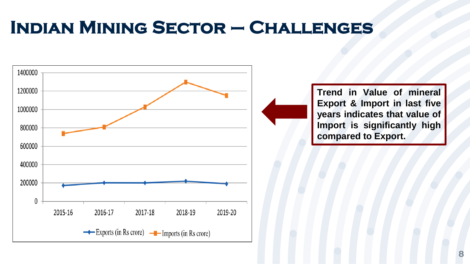# **Indian Mining Sector – Challenges**



**Trend in Value of mineral Export & Import in last five years indicates that value of Import is significantly high compared to Export.**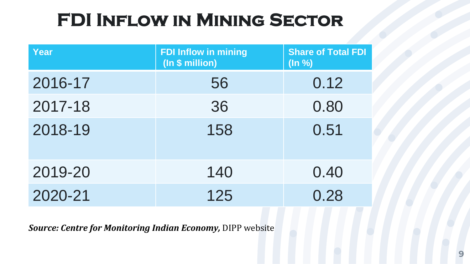# **FDI Inflow in Mining Sector**

| Year    | <b>FDI Inflow in mining</b><br>(In \$ million) | <b>Share of Total FDI</b><br>$($ ln % $)$ |
|---------|------------------------------------------------|-------------------------------------------|
| 2016-17 | 56                                             | 0.12                                      |
| 2017-18 | 36                                             | 0.80                                      |
| 2018-19 | 158                                            | 0.51                                      |
| 2019-20 | 140                                            | 0.40                                      |
| 2020-21 | 125                                            | 0.28                                      |

*Source: Centre for Monitoring Indian Economy,* DIPP website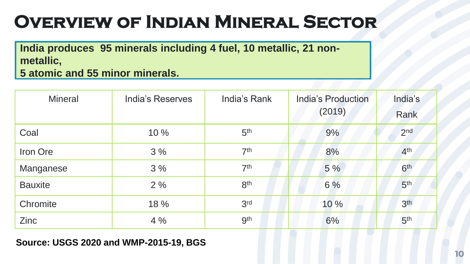# **Overview of Indian Mineral Sector**

**India produces 95 minerals including 4 fuel, 10 metallic, 21 nonmetallic,**

**5 atomic and 55 minor minerals.** 

| <b>Mineral</b> | <b>India's Reserves</b> | India's Rank    | India's Production<br>(2019) | India's<br>Rank |
|----------------|-------------------------|-----------------|------------------------------|-----------------|
| Coal           | 10 %                    | 5 <sup>th</sup> | 9%                           | 2 <sub>nd</sub> |
| Iron Ore       | 3%                      | 7 <sup>th</sup> | 8%                           | 4 <sup>th</sup> |
| Manganese      | 3%                      | 7 <sup>th</sup> | 5%                           | 6 <sup>th</sup> |
| <b>Bauxite</b> | 2%                      | 8 <sup>th</sup> | 6 %                          | 5 <sup>th</sup> |
| Chromite       | 18 %                    | 3 <sup>rd</sup> | 10%                          | 3 <sup>th</sup> |
| Zinc           | 4%                      | <b>gth</b>      | 6%                           | 5 <sup>th</sup> |

#### **Source: USGS 2020 and WMP-2015-19, BGS ,**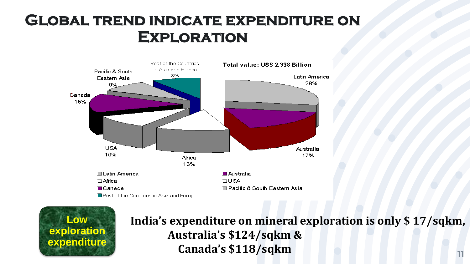## **Global trend indicate expenditure on Exploration**





**India's expenditure on mineral exploration is only \$ 17/sqkm, Australia's \$124/sqkm & Canada's \$118/sqkm**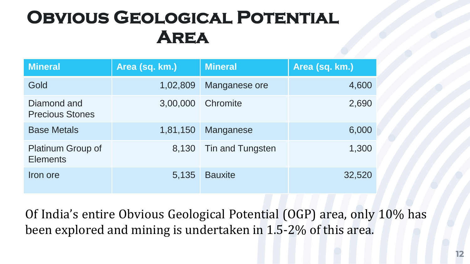# **Obvious Geological Potential Area**

| <b>Mineral</b>                        | Area (sq. km.) | <b>Mineral</b>   | Area (sq. km.) |
|---------------------------------------|----------------|------------------|----------------|
| Gold                                  | 1,02,809       | Manganese ore    | 4,600          |
| Diamond and<br><b>Precious Stones</b> | 3,00,000       | Chromite         | 2,690          |
| <b>Base Metals</b>                    | 1,81,150       | Manganese        | 6,000          |
| Platinum Group of<br><b>Elements</b>  | 8,130          | Tin and Tungsten | 1,300          |
| Iron ore                              | 5,135          | <b>Bauxite</b>   | 32,520         |

Of India's entire Obvious Geological Potential (OGP) area, only 10% has been explored and mining is undertaken in 1.5-2% of this area.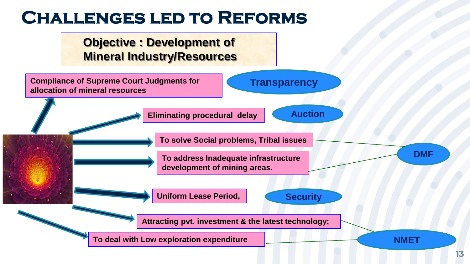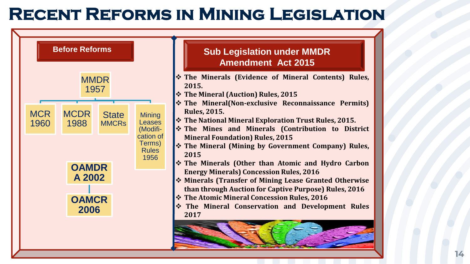## **Recent Reforms in Mining Legislation**

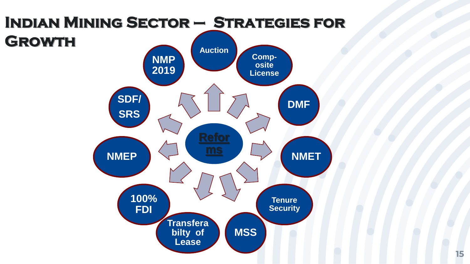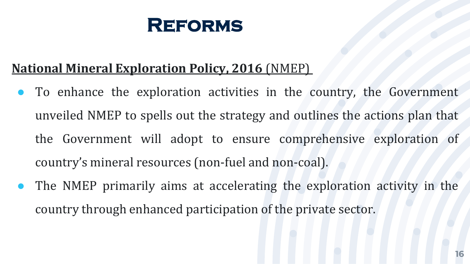

### **National Mineral Exploration Policy, 2016** (NMEP)

- To enhance the exploration activities in the country, the Government unveiled NMEP to spells out the strategy and outlines the actions plan that the Government will adopt to ensure comprehensive exploration of country's mineral resources (non-fuel and non-coal).
- The NMEP primarily aims at accelerating the exploration activity in the country through enhanced participation of the private sector.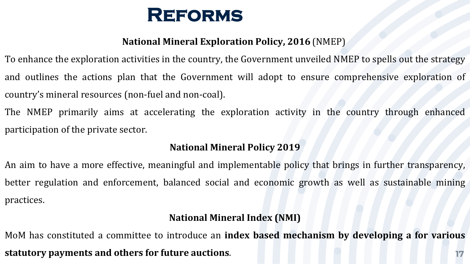

#### **National Mineral Exploration Policy, 2016** (NMEP)

To enhance the exploration activities in the country, the Government unveiled NMEP to spells out the strategy and outlines the actions plan that the Government will adopt to ensure comprehensive exploration of country's mineral resources (non-fuel and non-coal).

The NMEP primarily aims at accelerating the exploration activity in the country through enhanced participation of the private sector.

#### **National Mineral Policy 2019**

An aim to have a more effective, meaningful and implementable policy that brings in further transparency, better regulation and enforcement, balanced social and economic growth as well as sustainable mining practices.

#### **National Mineral Index (NMI)**

**17** MoM has constituted a committee to introduce an **index based mechanism by developing a for various statutory payments and others for future auctions**.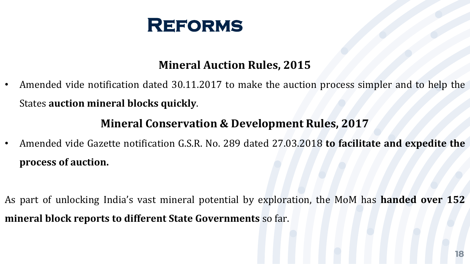

#### **Mineral Auction Rules, 2015**

• Amended vide notification dated 30.11.2017 to make the auction process simpler and to help the States **auction mineral blocks quickly**.

#### **Mineral Conservation & Development Rules, 2017**

• Amended vide Gazette notification G.S.R. No. 289 dated 27.03.2018 **to facilitate and expedite the process of auction.**

As part of unlocking India's vast mineral potential by exploration, the MoM has **handed over 152 mineral block reports to different State Governments** so far.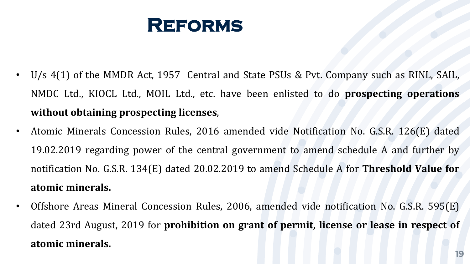

- U/s 4(1) of the MMDR Act, 1957 Central and State PSUs & Pvt. Company such as RINL, SAIL, NMDC Ltd., KIOCL Ltd., MOIL Ltd., etc. have been enlisted to do **prospecting operations without obtaining prospecting licenses**,
- Atomic Minerals Concession Rules, 2016 amended vide Notification No. G.S.R. 126(E) dated 19.02.2019 regarding power of the central government to amend schedule A and further by notification No. G.S.R. 134(E) dated 20.02.2019 to amend Schedule A for **Threshold Value for atomic minerals.**
- Offshore Areas Mineral Concession Rules, 2006, amended vide notification No. G.S.R. 595(E) dated 23rd August, 2019 for **prohibition on grant of permit, license or lease in respect of atomic minerals.**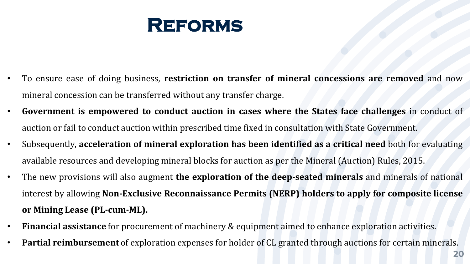

- To ensure ease of doing business, **restriction on transfer of mineral concessions are removed** and now mineral concession can be transferred without any transfer charge.
- **Government is empowered to conduct auction in cases where the States face challenges** in conduct of auction or fail to conduct auction within prescribed time fixed in consultation with State Government.
- Subsequently, **acceleration of mineral exploration has been identified as a critical need** both for evaluating available resources and developing mineral blocks for auction as per the Mineral (Auction) Rules, 2015.
- The new provisions will also augment **the exploration of the deep-seated minerals** and minerals of national interest by allowing **Non-Exclusive Reconnaissance Permits (NERP) holders to apply for composite license or Mining Lease (PL-cum-ML).**
- **Financial assistance** for procurement of machinery & equipment aimed to enhance exploration activities.
- **Partial reimbursement** of exploration expenses for holder of CL granted through auctions for certain minerals.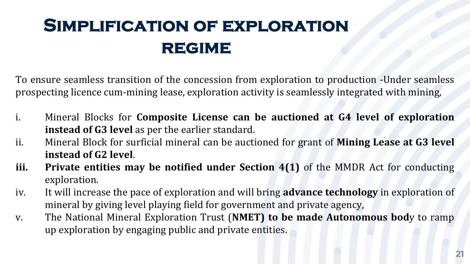# **Simplification of exploration regime**

To ensure seamless transition of the concession from exploration to production -Under seamless prospecting licence cum-mining lease, exploration activity is seamlessly integrated with mining,

- i. Mineral Blocks for **Composite License can be auctioned at G4 level of exploration instead of G3 level** as per the earlier standard.
- ii. Mineral Block for surficial mineral can be auctioned for grant of **Mining Lease at G3 level instead of G2 level**.
- **iii. Private entities may be notified under Section 4(1)** of the MMDR Act for conducting exploration.
- iv. It will increase the pace of exploration and will bring **advance technology** in exploration of mineral by giving level playing field for government and private agency,
- v. The National Mineral Exploration Trust (**NMET) to be made Autonomous bod**y to ramp up exploration by engaging public and private entities.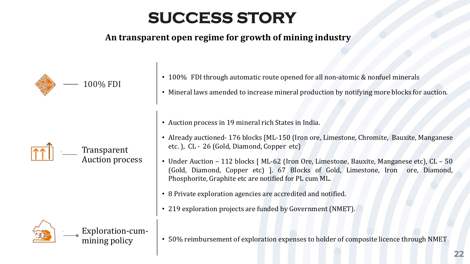## **SUCCESS STORY**

#### **An transparent open regime for growth of mining industry**

| 100% FDI                          | • 100% FDI through automatic route opened for all non-atomic & nonfuel minerals                                                                                                                                                         |  |  |  |
|-----------------------------------|-----------------------------------------------------------------------------------------------------------------------------------------------------------------------------------------------------------------------------------------|--|--|--|
|                                   | • Mineral laws amended to increase mineral production by notifying more blocks for auction.                                                                                                                                             |  |  |  |
|                                   | • Auction process in 19 mineral rich States in India.                                                                                                                                                                                   |  |  |  |
| Transparent<br>Auction process    | • Already auctioned-176 blocks [ML-150 (Iron ore, Limestone, Chromite, Bauxite, Manganese<br>etc.), CL - 26 (Gold, Diamond, Copper etc)                                                                                                 |  |  |  |
|                                   | • Under Auction - 112 blocks [ ML-62 (Iron Ore, Limestone, Bauxite, Manganese etc), CL - 50<br>(Gold, Diamond, Copper etc) 1. 67 Blocks of Gold, Limestone, Iron ore, Diamond,<br>Phosphorite, Graphite etc are notified for PL cum ML. |  |  |  |
|                                   | • 8 Private exploration agencies are accredited and notified.                                                                                                                                                                           |  |  |  |
|                                   | • 219 exploration projects are funded by Government (NMET).                                                                                                                                                                             |  |  |  |
| Exploration-cum-<br>mining policy | • 50% reimbursement of exploration expenses to holder of composite licence through NMET                                                                                                                                                 |  |  |  |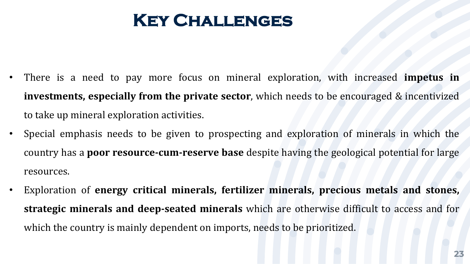## **Key Challenges**

- There is a need to pay more focus on mineral exploration, with increased **impetus in investments, especially from the private sector**, which needs to be encouraged & incentivized to take up mineral exploration activities.
- Special emphasis needs to be given to prospecting and exploration of minerals in which the country has a **poor resource-cum-reserve base** despite having the geological potential for large resources.
- Exploration of **energy critical minerals, fertilizer minerals, precious metals and stones, strategic minerals and deep-seated minerals** which are otherwise difficult to access and for which the country is mainly dependent on imports, needs to be prioritized.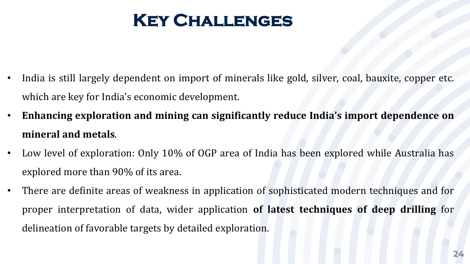# **Key Challenges**

- India is still largely dependent on import of minerals like gold, silver, coal, bauxite, copper etc. which are key for India's economic development.
- **Enhancing exploration and mining can significantly reduce India's import dependence on mineral and metals**.
- Low level of exploration: Only 10% of OGP area of India has been explored while Australia has explored more than 90% of its area.
- There are definite areas of weakness in application of sophisticated modern techniques and for proper interpretation of data, wider application **of latest techniques of deep drilling** for delineation of favorable targets by detailed exploration.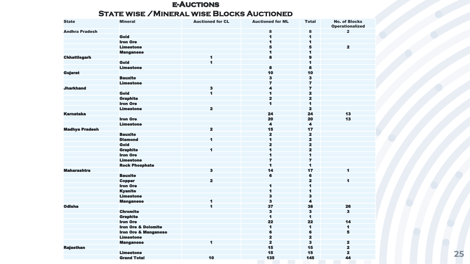#### **e-Auctions State wise /Mineral wise Blocks Auctioned**

| <b>State</b>          | <b>Mineral</b>                  | <b>Auctioned for CL</b> | <b>Auctioned for ML</b> | <b>Total</b>            | <b>No. of Blocks</b><br><b>Operationalized</b> |
|-----------------------|---------------------------------|-------------------------|-------------------------|-------------------------|------------------------------------------------|
| <b>Andhra Pradesh</b> |                                 |                         | 8                       | 8                       | $\overline{2}$                                 |
|                       | Gold                            |                         | 1                       | $\blacksquare$          |                                                |
|                       | <b>Iron Ore</b>                 |                         | 1                       | 1                       |                                                |
|                       | <b>Limestone</b>                |                         | 5                       | 5                       | $\overline{\mathbf{2}}$                        |
|                       | <b>Manganese</b>                |                         | 1                       | $\blacksquare$          |                                                |
| <b>Chhattisgarh</b>   |                                 | 1                       | 8                       | $\mathbf{9}$            |                                                |
|                       | Gold                            | $\blacksquare$          |                         | $\blacksquare$          |                                                |
|                       | <b>Limestone</b>                |                         | 8                       | 8                       |                                                |
| <b>Gujarat</b>        |                                 |                         | 10                      | 10                      |                                                |
|                       | <b>Bauxite</b>                  |                         | 3                       | $\bf{3}$                |                                                |
|                       | <b>Limestone</b>                |                         | $\overline{ }$          | $\overline{ }$          |                                                |
| <b>Jharkhand</b>      |                                 | $\overline{\mathbf{3}}$ | 4                       | $\overline{7}$          |                                                |
|                       | Gold                            | $\blacksquare$          | 1                       | $\overline{\mathbf{z}}$ |                                                |
|                       | <b>Graphite</b>                 |                         | $\mathbf{z}$            | $\overline{\mathbf{z}}$ |                                                |
|                       | <b>Iron Ore</b>                 |                         | 1                       | 1                       |                                                |
|                       | <b>Limestone</b>                | $\overline{\mathbf{z}}$ |                         | $\overline{\mathbf{z}}$ |                                                |
| <b>Karnataka</b>      |                                 |                         | 24                      | 24                      | 13                                             |
|                       | <b>Iron Ore</b>                 |                         | 20                      | 20                      | 13                                             |
|                       | <b>Limestone</b>                |                         | $\blacktriangleleft$    | $\blacktriangleleft$    |                                                |
| <b>Madhya Pradesh</b> |                                 | $\overline{\mathbf{z}}$ | 15                      | 17                      |                                                |
|                       | <b>Bauxite</b>                  |                         | $\mathbf{z}$            | $\overline{\mathbf{z}}$ |                                                |
|                       | <b>Diamond</b>                  | 1                       | 1                       | $\overline{\mathbf{z}}$ |                                                |
|                       | Gold                            |                         | $\overline{\mathbf{z}}$ | $\overline{\mathbf{2}}$ |                                                |
|                       | <b>Graphite</b>                 | 1                       | 1                       | $\overline{\mathbf{z}}$ |                                                |
|                       | <b>Iron Ore</b>                 |                         | 1                       | 1                       |                                                |
|                       | <b>Limestone</b>                |                         | $\overline{ }$          | $\overline{z}$          |                                                |
|                       | <b>Rock Phosphate</b>           |                         | $\blacksquare$          | $\blacktriangleleft$    |                                                |
| <b>Maharashtra</b>    |                                 | $\overline{\mathbf{3}}$ | 14                      | 17                      | 1                                              |
|                       | <b>Bauxite</b>                  |                         | 6                       | 6                       |                                                |
|                       | <b>Copper</b>                   | $\overline{\mathbf{2}}$ |                         | $\mathbf{z}$            | 1                                              |
|                       | <b>Iron Ore</b>                 |                         | 1                       | 1                       |                                                |
|                       | <b>Kyanite</b>                  |                         | 1                       | $\blacksquare$          |                                                |
|                       | <b>Limestone</b>                |                         | 3                       | $\overline{\mathbf{3}}$ |                                                |
|                       | <b>Manganese</b>                | 1                       | $\overline{\mathbf{3}}$ | $\blacktriangleleft$    |                                                |
| <b>Odisha</b>         |                                 | 1                       | 37                      | 38                      | 26                                             |
|                       | <b>Chromite</b>                 |                         | з                       | $\bf{3}$                | $\overline{\mathbf{3}}$                        |
|                       | <b>Graphite</b>                 |                         | 1                       | $\blacksquare$          |                                                |
|                       | <b>Iron Ore</b>                 |                         | 22                      | 22                      | 14                                             |
|                       | <b>Iron Ore &amp; Dolomite</b>  |                         | 1                       | $\blacksquare$          | 1                                              |
|                       | <b>Iron Ore &amp; Manganese</b> |                         | 6                       | 6                       | 5                                              |
|                       | <b>Limestone</b>                |                         | $\overline{\mathbf{z}}$ | $\overline{\mathbf{z}}$ |                                                |
|                       | <b>Manganese</b>                | $\blacksquare$          | $\overline{\mathbf{z}}$ | $\overline{\mathbf{3}}$ | $\overline{\mathbf{2}}$                        |
| <b>Rajasthan</b>      |                                 |                         | 15                      | 15                      | $\overline{\mathbf{2}}$                        |
|                       | <b>Limestone</b>                |                         | 15                      | 15                      | $\overline{\mathbf{z}}$                        |
|                       | <b>Grand Total</b>              | 10                      | 135                     | 145                     | 44                                             |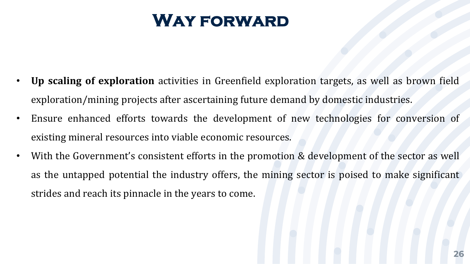## **Way forward**

- **Up scaling of exploration** activities in Greenfield exploration targets, as well as brown field exploration/mining projects after ascertaining future demand by domestic industries.
- Ensure enhanced efforts towards the development of new technologies for conversion of existing mineral resources into viable economic resources.
- With the Government's consistent efforts in the promotion & development of the sector as well as the untapped potential the industry offers, the mining sector is poised to make significant strides and reach its pinnacle in the years to come.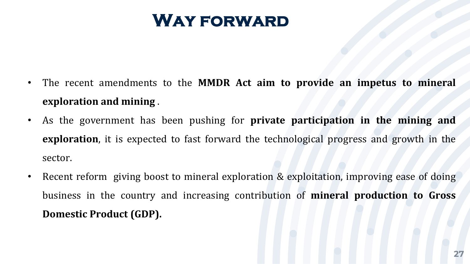## **Way forward**

- The recent amendments to the **MMDR Act aim to provide an impetus to mineral exploration and mining** .
- As the government has been pushing for **private participation in the mining and exploration**, it is expected to fast forward the technological progress and growth in the sector.
- Recent reform giving boost to mineral exploration & exploitation, improving ease of doing business in the country and increasing contribution of **mineral production to Gross Domestic Product (GDP).**